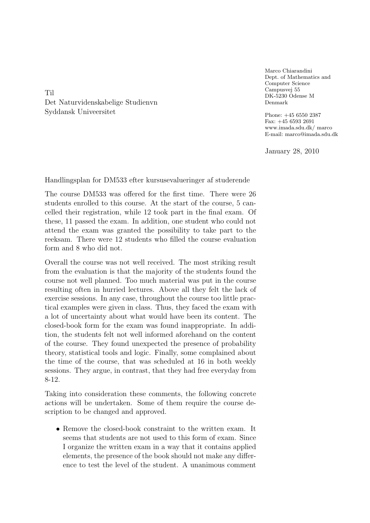Til Det Naturvidenskabelige Studienvn Syddansk Univeersitet

Marco Chiarandini Dept. of Mathematics and Computer Science Campusvej 55 DK-5230 Odense M Denmark

Phone: +45 6550 2387 Fax: +45 6593 2691 www.imada.sdu.dk/ marco E-mail: marco@imada.sdu.dk

January 28, 2010

Handlingsplan for DM533 efter kursusevalueringer af studerende

The course DM533 was offered for the first time. There were 26 students enrolled to this course. At the start of the course, 5 cancelled their registration, while 12 took part in the final exam. Of these, 11 passed the exam. In addition, one student who could not attend the exam was granted the possibility to take part to the reeksam. There were 12 students who filled the course evaluation form and 8 who did not.

Overall the course was not well received. The most striking result from the evaluation is that the majority of the students found the course not well planned. Too much material was put in the course resulting often in hurried lectures. Above all they felt the lack of exercise sessions. In any case, throughout the course too little practical examples were given in class. Thus, they faced the exam with a lot of uncertainty about what would have been its content. The closed-book form for the exam was found inappropriate. In addition, the students felt not well informed aforehand on the content of the course. They found unexpected the presence of probability theory, statistical tools and logic. Finally, some complained about the time of the course, that was scheduled at 16 in both weekly sessions. They argue, in contrast, that they had free everyday from 8-12.

Taking into consideration these comments, the following concrete actions will be undertaken. Some of them require the course description to be changed and approved.

• Remove the closed-book constraint to the written exam. It seems that students are not used to this form of exam. Since I organize the written exam in a way that it contains applied elements, the presence of the book should not make any difference to test the level of the student. A unanimous comment